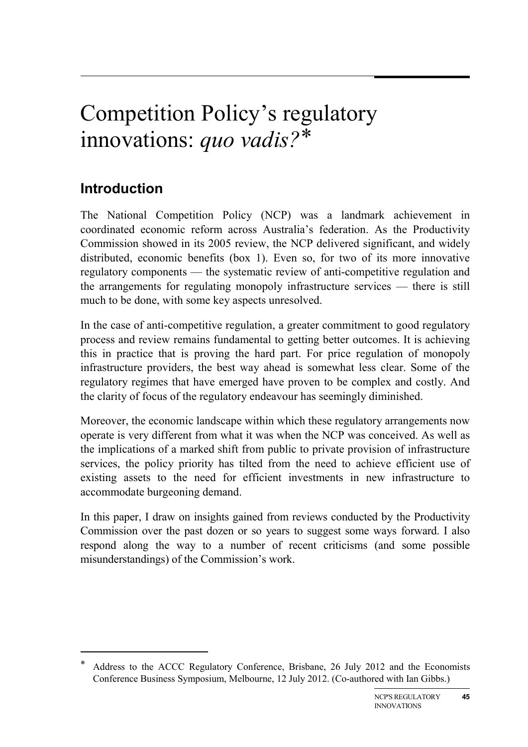# Competition Policy's regulatory innovations: *quo vadis?*[\\*](#page-0-0)

# **Introduction**

-

The National Competition Policy (NCP) was a landmark achievement in coordinated economic reform across Australia's federation. As the Productivity Commission showed in its 2005 review, the NCP delivered significant, and widely distributed, economic benefits (box 1). Even so, for two of its more innovative regulatory components — the systematic review of anti-competitive regulation and the arrangements for regulating monopoly infrastructure services — there is still much to be done, with some key aspects unresolved.

In the case of anti-competitive regulation, a greater commitment to good regulatory process and review remains fundamental to getting better outcomes. It is achieving this in practice that is proving the hard part. For price regulation of monopoly infrastructure providers, the best way ahead is somewhat less clear. Some of the regulatory regimes that have emerged have proven to be complex and costly. And the clarity of focus of the regulatory endeavour has seemingly diminished.

Moreover, the economic landscape within which these regulatory arrangements now operate is very different from what it was when the NCP was conceived. As well as the implications of a marked shift from public to private provision of infrastructure services, the policy priority has tilted from the need to achieve efficient use of existing assets to the need for efficient investments in new infrastructure to accommodate burgeoning demand.

In this paper, I draw on insights gained from reviews conducted by the Productivity Commission over the past dozen or so years to suggest some ways forward. I also respond along the way to a number of recent criticisms (and some possible misunderstandings) of the Commission's work.

<span id="page-0-0"></span>Address to the ACCC Regulatory Conference, Brisbane, 26 July 2012 and the Economists Conference Business Symposium, Melbourne, 12 July 2012. (Co-authored with Ian Gibbs.)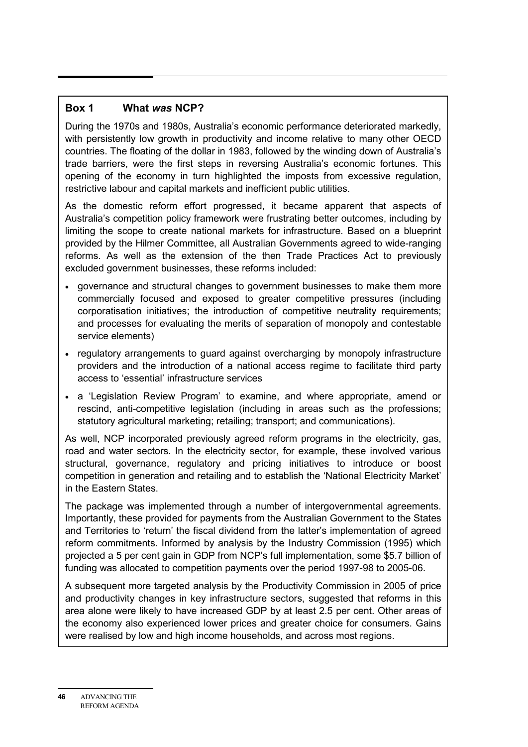#### **Box 1 What** *was* **NCP?**

During the 1970s and 1980s, Australia's economic performance deteriorated markedly, with persistently low growth in productivity and income relative to many other OECD countries. The floating of the dollar in 1983, followed by the winding down of Australia's trade barriers, were the first steps in reversing Australia's economic fortunes. This opening of the economy in turn highlighted the imposts from excessive regulation, restrictive labour and capital markets and inefficient public utilities.

As the domestic reform effort progressed, it became apparent that aspects of Australia's competition policy framework were frustrating better outcomes, including by limiting the scope to create national markets for infrastructure. Based on a blueprint provided by the Hilmer Committee, all Australian Governments agreed to wide-ranging reforms. As well as the extension of the then Trade Practices Act to previously excluded government businesses, these reforms included:

- governance and structural changes to government businesses to make them more commercially focused and exposed to greater competitive pressures (including corporatisation initiatives; the introduction of competitive neutrality requirements; and processes for evaluating the merits of separation of monopoly and contestable service elements)
- regulatory arrangements to guard against overcharging by monopoly infrastructure providers and the introduction of a national access regime to facilitate third party access to 'essential' infrastructure services
- a 'Legislation Review Program' to examine, and where appropriate, amend or rescind, anti-competitive legislation (including in areas such as the professions; statutory agricultural marketing; retailing; transport; and communications).

As well, NCP incorporated previously agreed reform programs in the electricity, gas, road and water sectors. In the electricity sector, for example, these involved various structural, governance, regulatory and pricing initiatives to introduce or boost competition in generation and retailing and to establish the 'National Electricity Market' in the Eastern States.

The package was implemented through a number of intergovernmental agreements. Importantly, these provided for payments from the Australian Government to the States and Territories to 'return' the fiscal dividend from the latter's implementation of agreed reform commitments. Informed by analysis by the Industry Commission (1995) which projected a 5 per cent gain in GDP from NCP's full implementation, some \$5.7 billion of funding was allocated to competition payments over the period 1997-98 to 2005-06.

A subsequent more targeted analysis by the Productivity Commission in 2005 of price and productivity changes in key infrastructure sectors, suggested that reforms in this area alone were likely to have increased GDP by at least 2.5 per cent. Other areas of the economy also experienced lower prices and greater choice for consumers. Gains were realised by low and high income households, and across most regions.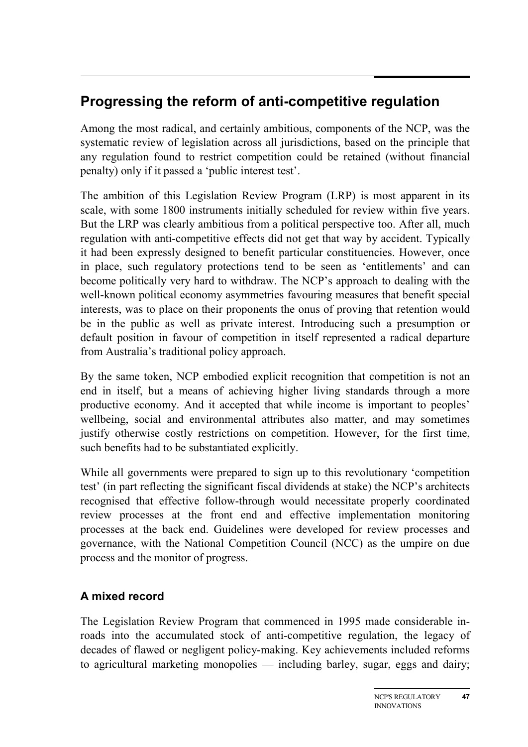# **Progressing the reform of anti-competitive regulation**

Among the most radical, and certainly ambitious, components of the NCP, was the systematic review of legislation across all jurisdictions, based on the principle that any regulation found to restrict competition could be retained (without financial penalty) only if it passed a 'public interest test'.

The ambition of this Legislation Review Program (LRP) is most apparent in its scale, with some 1800 instruments initially scheduled for review within five years. But the LRP was clearly ambitious from a political perspective too. After all, much regulation with anti-competitive effects did not get that way by accident. Typically it had been expressly designed to benefit particular constituencies. However, once in place, such regulatory protections tend to be seen as 'entitlements' and can become politically very hard to withdraw. The NCP's approach to dealing with the well-known political economy asymmetries favouring measures that benefit special interests, was to place on their proponents the onus of proving that retention would be in the public as well as private interest. Introducing such a presumption or default position in favour of competition in itself represented a radical departure from Australia's traditional policy approach.

By the same token, NCP embodied explicit recognition that competition is not an end in itself, but a means of achieving higher living standards through a more productive economy. And it accepted that while income is important to peoples' wellbeing, social and environmental attributes also matter, and may sometimes justify otherwise costly restrictions on competition. However, for the first time, such benefits had to be substantiated explicitly.

While all governments were prepared to sign up to this revolutionary 'competition test' (in part reflecting the significant fiscal dividends at stake) the NCP's architects recognised that effective follow-through would necessitate properly coordinated review processes at the front end and effective implementation monitoring processes at the back end. Guidelines were developed for review processes and governance, with the National Competition Council (NCC) as the umpire on due process and the monitor of progress.

# **A mixed record**

The Legislation Review Program that commenced in 1995 made considerable inroads into the accumulated stock of anti-competitive regulation, the legacy of decades of flawed or negligent policy-making. Key achievements included reforms to agricultural marketing monopolies — including barley, sugar, eggs and dairy;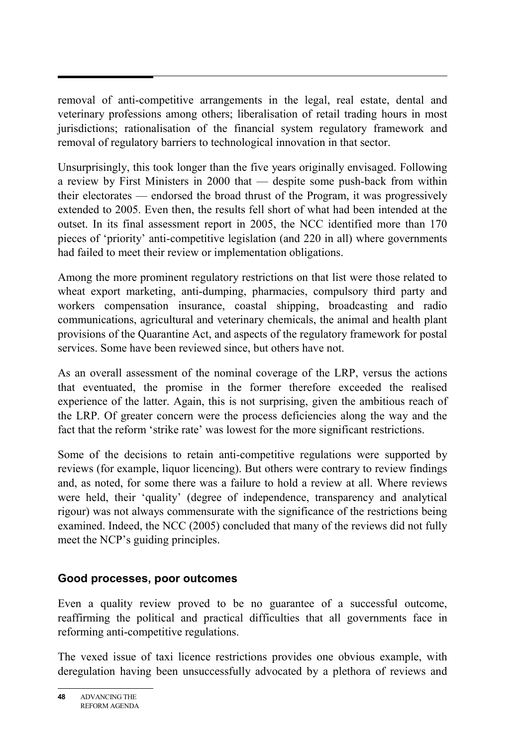removal of anti-competitive arrangements in the legal, real estate, dental and veterinary professions among others; liberalisation of retail trading hours in most jurisdictions; rationalisation of the financial system regulatory framework and removal of regulatory barriers to technological innovation in that sector.

Unsurprisingly, this took longer than the five years originally envisaged. Following a review by First Ministers in 2000 that — despite some push-back from within their electorates — endorsed the broad thrust of the Program, it was progressively extended to 2005. Even then, the results fell short of what had been intended at the outset. In its final assessment report in 2005, the NCC identified more than 170 pieces of 'priority' anti-competitive legislation (and 220 in all) where governments had failed to meet their review or implementation obligations.

Among the more prominent regulatory restrictions on that list were those related to wheat export marketing, anti-dumping, pharmacies, compulsory third party and workers compensation insurance, coastal shipping, broadcasting and radio communications, agricultural and veterinary chemicals, the animal and health plant provisions of the Quarantine Act, and aspects of the regulatory framework for postal services. Some have been reviewed since, but others have not.

As an overall assessment of the nominal coverage of the LRP, versus the actions that eventuated, the promise in the former therefore exceeded the realised experience of the latter. Again, this is not surprising, given the ambitious reach of the LRP. Of greater concern were the process deficiencies along the way and the fact that the reform 'strike rate' was lowest for the more significant restrictions.

Some of the decisions to retain anti-competitive regulations were supported by reviews (for example, liquor licencing). But others were contrary to review findings and, as noted, for some there was a failure to hold a review at all. Where reviews were held, their 'quality' (degree of independence, transparency and analytical rigour) was not always commensurate with the significance of the restrictions being examined. Indeed, the NCC (2005) concluded that many of the reviews did not fully meet the NCP's guiding principles.

#### **Good processes, poor outcomes**

Even a quality review proved to be no guarantee of a successful outcome, reaffirming the political and practical difficulties that all governments face in reforming anti-competitive regulations.

The vexed issue of taxi licence restrictions provides one obvious example, with deregulation having been unsuccessfully advocated by a plethora of reviews and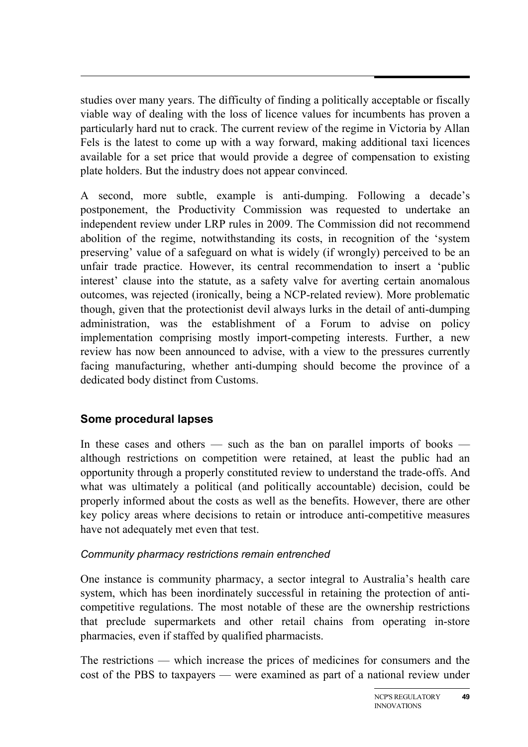studies over many years. The difficulty of finding a politically acceptable or fiscally viable way of dealing with the loss of licence values for incumbents has proven a particularly hard nut to crack. The current review of the regime in Victoria by Allan Fels is the latest to come up with a way forward, making additional taxi licences available for a set price that would provide a degree of compensation to existing plate holders. But the industry does not appear convinced.

A second, more subtle, example is anti-dumping. Following a decade's postponement, the Productivity Commission was requested to undertake an independent review under LRP rules in 2009. The Commission did not recommend abolition of the regime, notwithstanding its costs, in recognition of the 'system preserving' value of a safeguard on what is widely (if wrongly) perceived to be an unfair trade practice. However, its central recommendation to insert a 'public interest' clause into the statute, as a safety valve for averting certain anomalous outcomes, was rejected (ironically, being a NCP-related review). More problematic though, given that the protectionist devil always lurks in the detail of anti-dumping administration, was the establishment of a Forum to advise on policy implementation comprising mostly import-competing interests. Further, a new review has now been announced to advise, with a view to the pressures currently facing manufacturing, whether anti-dumping should become the province of a dedicated body distinct from Customs.

# **Some procedural lapses**

In these cases and others — such as the ban on parallel imports of books although restrictions on competition were retained, at least the public had an opportunity through a properly constituted review to understand the trade-offs. And what was ultimately a political (and politically accountable) decision, could be properly informed about the costs as well as the benefits. However, there are other key policy areas where decisions to retain or introduce anti-competitive measures have not adequately met even that test.

# *Community pharmacy restrictions remain entrenched*

One instance is community pharmacy, a sector integral to Australia's health care system, which has been inordinately successful in retaining the protection of anticompetitive regulations. The most notable of these are the ownership restrictions that preclude supermarkets and other retail chains from operating in-store pharmacies, even if staffed by qualified pharmacists.

The restrictions — which increase the prices of medicines for consumers and the cost of the PBS to taxpayers — were examined as part of a national review under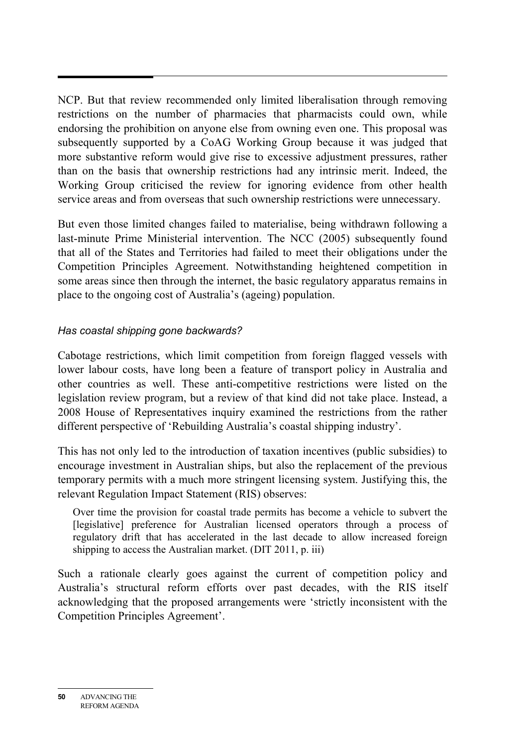NCP. But that review recommended only limited liberalisation through removing restrictions on the number of pharmacies that pharmacists could own, while endorsing the prohibition on anyone else from owning even one. This proposal was subsequently supported by a CoAG Working Group because it was judged that more substantive reform would give rise to excessive adjustment pressures, rather than on the basis that ownership restrictions had any intrinsic merit. Indeed, the Working Group criticised the review for ignoring evidence from other health service areas and from overseas that such ownership restrictions were unnecessary.

But even those limited changes failed to materialise, being withdrawn following a last-minute Prime Ministerial intervention. The NCC (2005) subsequently found that all of the States and Territories had failed to meet their obligations under the Competition Principles Agreement. Notwithstanding heightened competition in some areas since then through the internet, the basic regulatory apparatus remains in place to the ongoing cost of Australia's (ageing) population.

#### *Has coastal shipping gone backwards?*

Cabotage restrictions, which limit competition from foreign flagged vessels with lower labour costs, have long been a feature of transport policy in Australia and other countries as well. These anti-competitive restrictions were listed on the legislation review program, but a review of that kind did not take place. Instead, a 2008 House of Representatives inquiry examined the restrictions from the rather different perspective of 'Rebuilding Australia's coastal shipping industry'.

This has not only led to the introduction of taxation incentives (public subsidies) to encourage investment in Australian ships, but also the replacement of the previous temporary permits with a much more stringent licensing system. Justifying this, the relevant Regulation Impact Statement (RIS) observes:

Over time the provision for coastal trade permits has become a vehicle to subvert the [legislative] preference for Australian licensed operators through a process of regulatory drift that has accelerated in the last decade to allow increased foreign shipping to access the Australian market. (DIT 2011, p. iii)

Such a rationale clearly goes against the current of competition policy and Australia's structural reform efforts over past decades, with the RIS itself acknowledging that the proposed arrangements were 'strictly inconsistent with the Competition Principles Agreement'.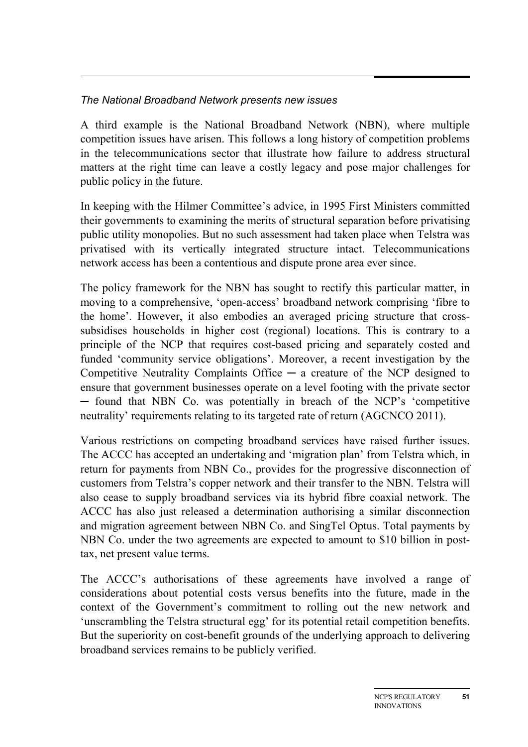#### *The National Broadband Network presents new issues*

A third example is the National Broadband Network (NBN), where multiple competition issues have arisen. This follows a long history of competition problems in the telecommunications sector that illustrate how failure to address structural matters at the right time can leave a costly legacy and pose major challenges for public policy in the future.

In keeping with the Hilmer Committee's advice, in 1995 First Ministers committed their governments to examining the merits of structural separation before privatising public utility monopolies. But no such assessment had taken place when Telstra was privatised with its vertically integrated structure intact. Telecommunications network access has been a contentious and dispute prone area ever since.

The policy framework for the NBN has sought to rectify this particular matter, in moving to a comprehensive, 'open-access' broadband network comprising 'fibre to the home'. However, it also embodies an averaged pricing structure that crosssubsidises households in higher cost (regional) locations. This is contrary to a principle of the NCP that requires cost-based pricing and separately costed and funded 'community service obligations'. Moreover, a recent investigation by the Competitive Neutrality Complaints Office  $-$  a creature of the NCP designed to ensure that government businesses operate on a level footing with the private sector ─ found that NBN Co. was potentially in breach of the NCP's 'competitive neutrality' requirements relating to its targeted rate of return (AGCNCO 2011).

Various restrictions on competing broadband services have raised further issues. The ACCC has accepted an undertaking and 'migration plan' from Telstra which, in return for payments from NBN Co., provides for the progressive disconnection of customers from Telstra's copper network and their transfer to the NBN. Telstra will also cease to supply broadband services via its hybrid fibre coaxial network. The ACCC has also just released a determination authorising a similar disconnection and migration agreement between NBN Co. and SingTel Optus. Total payments by NBN Co. under the two agreements are expected to amount to \$10 billion in posttax, net present value terms.

The ACCC's authorisations of these agreements have involved a range of considerations about potential costs versus benefits into the future, made in the context of the Government's commitment to rolling out the new network and 'unscrambling the Telstra structural egg' for its potential retail competition benefits. But the superiority on cost-benefit grounds of the underlying approach to delivering broadband services remains to be publicly verified.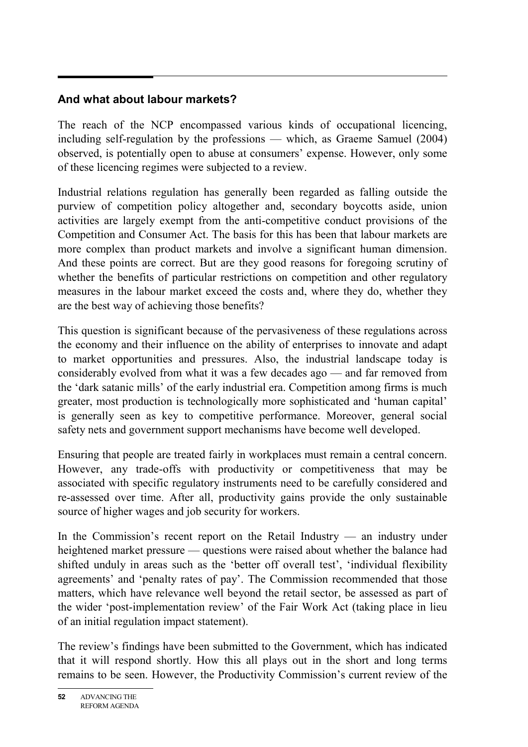# **And what about labour markets?**

The reach of the NCP encompassed various kinds of occupational licencing, including self-regulation by the professions — which, as Graeme Samuel (2004) observed, is potentially open to abuse at consumers' expense. However, only some of these licencing regimes were subjected to a review.

Industrial relations regulation has generally been regarded as falling outside the purview of competition policy altogether and, secondary boycotts aside, union activities are largely exempt from the anti-competitive conduct provisions of the Competition and Consumer Act. The basis for this has been that labour markets are more complex than product markets and involve a significant human dimension. And these points are correct. But are they good reasons for foregoing scrutiny of whether the benefits of particular restrictions on competition and other regulatory measures in the labour market exceed the costs and, where they do, whether they are the best way of achieving those benefits?

This question is significant because of the pervasiveness of these regulations across the economy and their influence on the ability of enterprises to innovate and adapt to market opportunities and pressures. Also, the industrial landscape today is considerably evolved from what it was a few decades ago — and far removed from the 'dark satanic mills' of the early industrial era. Competition among firms is much greater, most production is technologically more sophisticated and 'human capital' is generally seen as key to competitive performance. Moreover, general social safety nets and government support mechanisms have become well developed.

Ensuring that people are treated fairly in workplaces must remain a central concern. However, any trade-offs with productivity or competitiveness that may be associated with specific regulatory instruments need to be carefully considered and re-assessed over time. After all, productivity gains provide the only sustainable source of higher wages and job security for workers.

In the Commission's recent report on the Retail Industry — an industry under heightened market pressure — questions were raised about whether the balance had shifted unduly in areas such as the 'better off overall test', 'individual flexibility agreements' and 'penalty rates of pay'. The Commission recommended that those matters, which have relevance well beyond the retail sector, be assessed as part of the wider 'post-implementation review' of the Fair Work Act (taking place in lieu of an initial regulation impact statement).

The review's findings have been submitted to the Government, which has indicated that it will respond shortly. How this all plays out in the short and long terms remains to be seen. However, the Productivity Commission's current review of the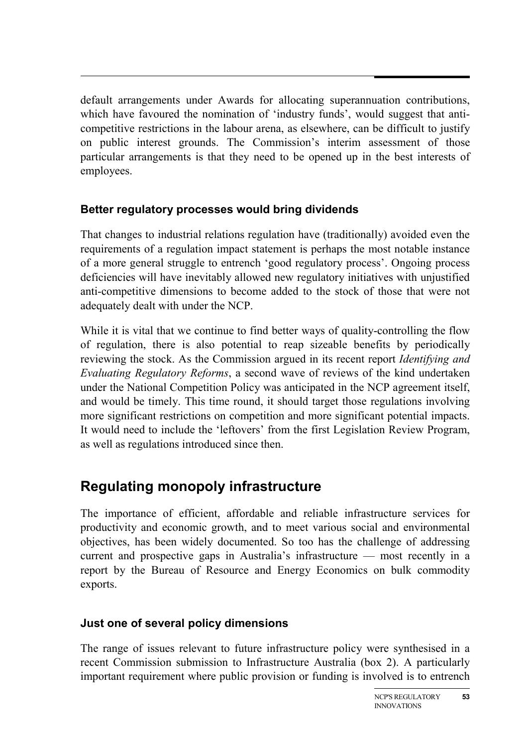default arrangements under Awards for allocating superannuation contributions, which have favoured the nomination of 'industry funds', would suggest that anticompetitive restrictions in the labour arena, as elsewhere, can be difficult to justify on public interest grounds. The Commission's interim assessment of those particular arrangements is that they need to be opened up in the best interests of employees.

# **Better regulatory processes would bring dividends**

That changes to industrial relations regulation have (traditionally) avoided even the requirements of a regulation impact statement is perhaps the most notable instance of a more general struggle to entrench 'good regulatory process'. Ongoing process deficiencies will have inevitably allowed new regulatory initiatives with unjustified anti-competitive dimensions to become added to the stock of those that were not adequately dealt with under the NCP.

While it is vital that we continue to find better ways of quality-controlling the flow of regulation, there is also potential to reap sizeable benefits by periodically reviewing the stock. As the Commission argued in its recent report *Identifying and Evaluating Regulatory Reforms*, a second wave of reviews of the kind undertaken under the National Competition Policy was anticipated in the NCP agreement itself, and would be timely. This time round, it should target those regulations involving more significant restrictions on competition and more significant potential impacts. It would need to include the 'leftovers' from the first Legislation Review Program, as well as regulations introduced since then.

# **Regulating monopoly infrastructure**

The importance of efficient, affordable and reliable infrastructure services for productivity and economic growth, and to meet various social and environmental objectives, has been widely documented. So too has the challenge of addressing current and prospective gaps in Australia's infrastructure — most recently in a report by the Bureau of Resource and Energy Economics on bulk commodity exports.

# **Just one of several policy dimensions**

The range of issues relevant to future infrastructure policy were synthesised in a recent Commission submission to Infrastructure Australia (box 2). A particularly important requirement where public provision or funding is involved is to entrench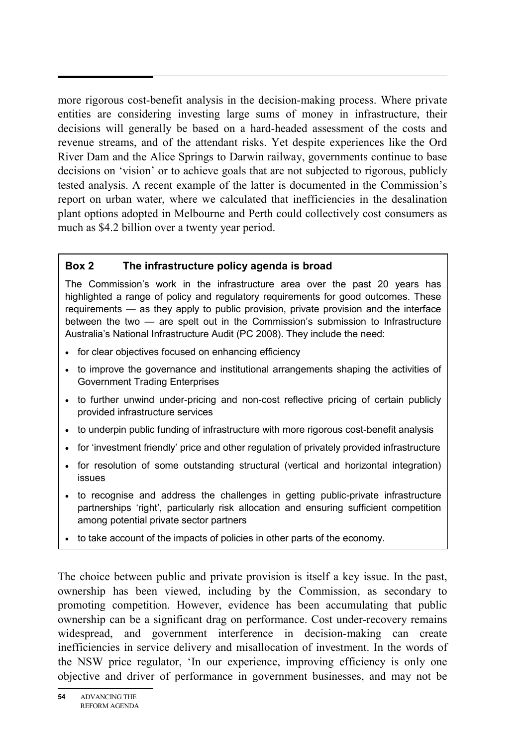more rigorous cost-benefit analysis in the decision-making process. Where private entities are considering investing large sums of money in infrastructure, their decisions will generally be based on a hard-headed assessment of the costs and revenue streams, and of the attendant risks. Yet despite experiences like the Ord River Dam and the Alice Springs to Darwin railway, governments continue to base decisions on 'vision' or to achieve goals that are not subjected to rigorous, publicly tested analysis. A recent example of the latter is documented in the Commission's report on urban water, where we calculated that inefficiencies in the desalination plant options adopted in Melbourne and Perth could collectively cost consumers as much as \$4.2 billion over a twenty year period.

#### **Box 2 The infrastructure policy agenda is broad**

The Commission's work in the infrastructure area over the past 20 years has highlighted a range of policy and regulatory requirements for good outcomes. These requirements — as they apply to public provision, private provision and the interface between the two — are spelt out in the Commission's submission to Infrastructure Australia's National Infrastructure Audit (PC 2008). They include the need:

- for clear objectives focused on enhancing efficiency
- to improve the governance and institutional arrangements shaping the activities of Government Trading Enterprises
- to further unwind under-pricing and non-cost reflective pricing of certain publicly provided infrastructure services
- to underpin public funding of infrastructure with more rigorous cost-benefit analysis
- for 'investment friendly' price and other regulation of privately provided infrastructure
- for resolution of some outstanding structural (vertical and horizontal integration) issues
- to recognise and address the challenges in getting public-private infrastructure partnerships 'right', particularly risk allocation and ensuring sufficient competition among potential private sector partners
- to take account of the impacts of policies in other parts of the economy.

The choice between public and private provision is itself a key issue. In the past, ownership has been viewed, including by the Commission, as secondary to promoting competition. However, evidence has been accumulating that public ownership can be a significant drag on performance. Cost under-recovery remains widespread, and government interference in decision-making can create inefficiencies in service delivery and misallocation of investment. In the words of the NSW price regulator, 'In our experience, improving efficiency is only one objective and driver of performance in government businesses, and may not be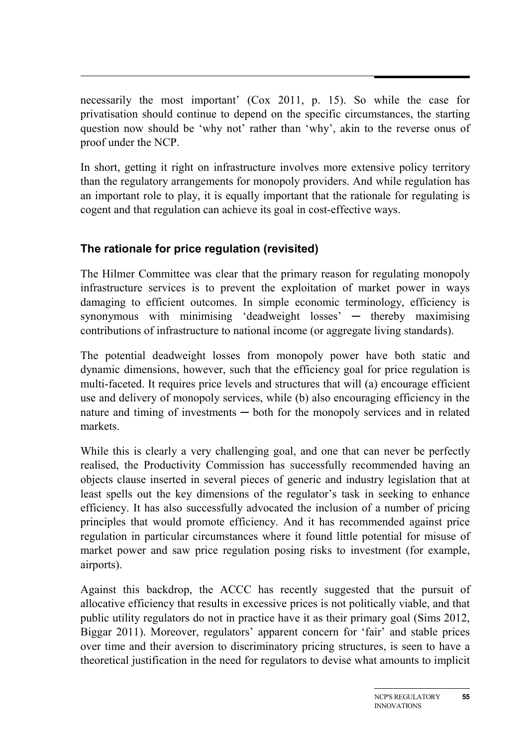necessarily the most important' (Cox 2011, p. 15). So while the case for privatisation should continue to depend on the specific circumstances, the starting question now should be 'why not' rather than 'why', akin to the reverse onus of proof under the NCP.

In short, getting it right on infrastructure involves more extensive policy territory than the regulatory arrangements for monopoly providers. And while regulation has an important role to play, it is equally important that the rationale for regulating is cogent and that regulation can achieve its goal in cost-effective ways.

# **The rationale for price regulation (revisited)**

The Hilmer Committee was clear that the primary reason for regulating monopoly infrastructure services is to prevent the exploitation of market power in ways damaging to efficient outcomes. In simple economic terminology, efficiency is synonymous with minimising 'deadweight losses' — thereby maximising contributions of infrastructure to national income (or aggregate living standards).

The potential deadweight losses from monopoly power have both static and dynamic dimensions, however, such that the efficiency goal for price regulation is multi-faceted. It requires price levels and structures that will (a) encourage efficient use and delivery of monopoly services, while (b) also encouraging efficiency in the nature and timing of investments — both for the monopoly services and in related markets.

While this is clearly a very challenging goal, and one that can never be perfectly realised, the Productivity Commission has successfully recommended having an objects clause inserted in several pieces of generic and industry legislation that at least spells out the key dimensions of the regulator's task in seeking to enhance efficiency. It has also successfully advocated the inclusion of a number of pricing principles that would promote efficiency. And it has recommended against price regulation in particular circumstances where it found little potential for misuse of market power and saw price regulation posing risks to investment (for example, airports).

Against this backdrop, the ACCC has recently suggested that the pursuit of allocative efficiency that results in excessive prices is not politically viable, and that public utility regulators do not in practice have it as their primary goal (Sims 2012, Biggar 2011). Moreover, regulators' apparent concern for 'fair' and stable prices over time and their aversion to discriminatory pricing structures, is seen to have a theoretical justification in the need for regulators to devise what amounts to implicit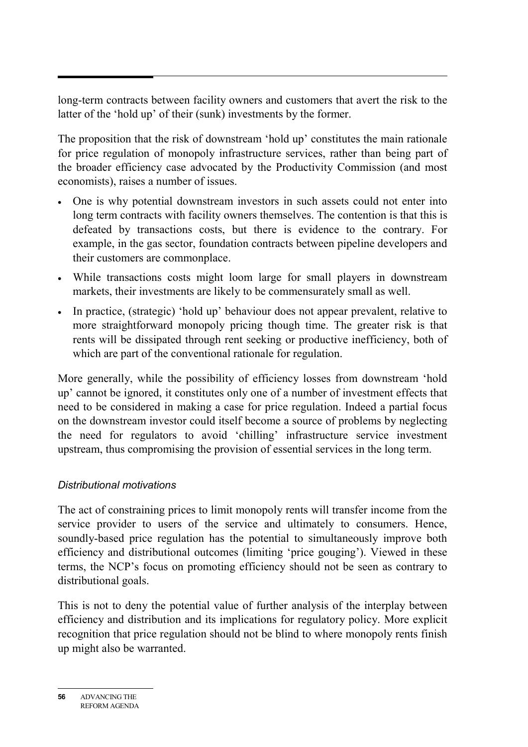long-term contracts between facility owners and customers that avert the risk to the latter of the 'hold up' of their (sunk) investments by the former.

The proposition that the risk of downstream 'hold up' constitutes the main rationale for price regulation of monopoly infrastructure services, rather than being part of the broader efficiency case advocated by the Productivity Commission (and most economists), raises a number of issues.

- One is why potential downstream investors in such assets could not enter into long term contracts with facility owners themselves. The contention is that this is defeated by transactions costs, but there is evidence to the contrary. For example, in the gas sector, foundation contracts between pipeline developers and their customers are commonplace.
- While transactions costs might loom large for small players in downstream markets, their investments are likely to be commensurately small as well.
- In practice, (strategic) 'hold up' behaviour does not appear prevalent, relative to more straightforward monopoly pricing though time. The greater risk is that rents will be dissipated through rent seeking or productive inefficiency, both of which are part of the conventional rationale for regulation.

More generally, while the possibility of efficiency losses from downstream 'hold up' cannot be ignored, it constitutes only one of a number of investment effects that need to be considered in making a case for price regulation. Indeed a partial focus on the downstream investor could itself become a source of problems by neglecting the need for regulators to avoid 'chilling' infrastructure service investment upstream, thus compromising the provision of essential services in the long term.

# *Distributional motivations*

The act of constraining prices to limit monopoly rents will transfer income from the service provider to users of the service and ultimately to consumers. Hence, soundly-based price regulation has the potential to simultaneously improve both efficiency and distributional outcomes (limiting 'price gouging'). Viewed in these terms, the NCP's focus on promoting efficiency should not be seen as contrary to distributional goals.

This is not to deny the potential value of further analysis of the interplay between efficiency and distribution and its implications for regulatory policy. More explicit recognition that price regulation should not be blind to where monopoly rents finish up might also be warranted.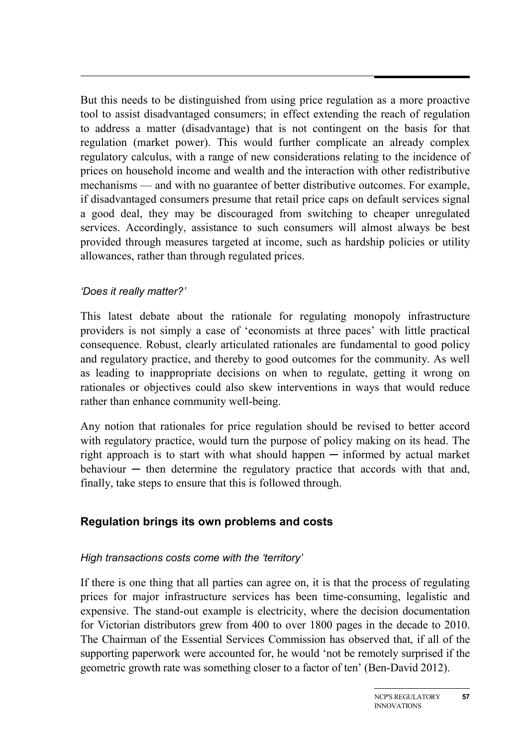But this needs to be distinguished from using price regulation as a more proactive tool to assist disadvantaged consumers; in effect extending the reach of regulation to address a matter (disadvantage) that is not contingent on the basis for that regulation (market power). This would further complicate an already complex regulatory calculus, with a range of new considerations relating to the incidence of prices on household income and wealth and the interaction with other redistributive mechanisms — and with no guarantee of better distributive outcomes. For example, if disadvantaged consumers presume that retail price caps on default services signal a good deal, they may be discouraged from switching to cheaper unregulated services. Accordingly, assistance to such consumers will almost always be best provided through measures targeted at income, such as hardship policies or utility allowances, rather than through regulated prices.

#### *'Does it really matter?'*

This latest debate about the rationale for regulating monopoly infrastructure providers is not simply a case of 'economists at three paces' with little practical consequence. Robust, clearly articulated rationales are fundamental to good policy and regulatory practice, and thereby to good outcomes for the community. As well as leading to inappropriate decisions on when to regulate, getting it wrong on rationales or objectives could also skew interventions in ways that would reduce rather than enhance community well-being.

Any notion that rationales for price regulation should be revised to better accord with regulatory practice, would turn the purpose of policy making on its head. The right approach is to start with what should happen  $-$  informed by actual market  $behavior$  — then determine the regulatory practice that accords with that and, finally, take steps to ensure that this is followed through.

#### **Regulation brings its own problems and costs**

#### *High transactions costs come with the 'territory'*

If there is one thing that all parties can agree on, it is that the process of regulating prices for major infrastructure services has been time-consuming, legalistic and expensive. The stand-out example is electricity, where the decision documentation for Victorian distributors grew from 400 to over 1800 pages in the decade to 2010. The Chairman of the Essential Services Commission has observed that, if all of the supporting paperwork were accounted for, he would 'not be remotely surprised if the geometric growth rate was something closer to a factor of ten' (Ben-David 2012).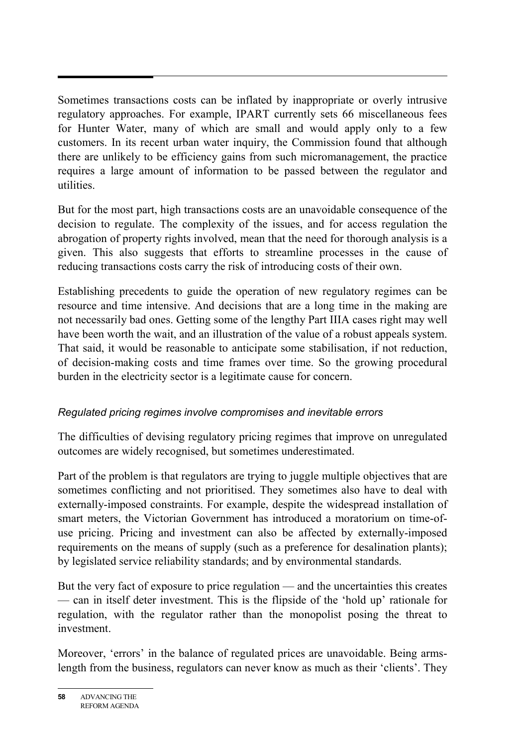Sometimes transactions costs can be inflated by inappropriate or overly intrusive regulatory approaches. For example, IPART currently sets 66 miscellaneous fees for Hunter Water, many of which are small and would apply only to a few customers. In its recent urban water inquiry, the Commission found that although there are unlikely to be efficiency gains from such micromanagement, the practice requires a large amount of information to be passed between the regulator and utilities.

But for the most part, high transactions costs are an unavoidable consequence of the decision to regulate. The complexity of the issues, and for access regulation the abrogation of property rights involved, mean that the need for thorough analysis is a given. This also suggests that efforts to streamline processes in the cause of reducing transactions costs carry the risk of introducing costs of their own.

Establishing precedents to guide the operation of new regulatory regimes can be resource and time intensive. And decisions that are a long time in the making are not necessarily bad ones. Getting some of the lengthy Part IIIA cases right may well have been worth the wait, and an illustration of the value of a robust appeals system. That said, it would be reasonable to anticipate some stabilisation, if not reduction, of decision-making costs and time frames over time. So the growing procedural burden in the electricity sector is a legitimate cause for concern.

#### *Regulated pricing regimes involve compromises and inevitable errors*

The difficulties of devising regulatory pricing regimes that improve on unregulated outcomes are widely recognised, but sometimes underestimated.

Part of the problem is that regulators are trying to juggle multiple objectives that are sometimes conflicting and not prioritised. They sometimes also have to deal with externally-imposed constraints. For example, despite the widespread installation of smart meters, the Victorian Government has introduced a moratorium on time-ofuse pricing. Pricing and investment can also be affected by externally-imposed requirements on the means of supply (such as a preference for desalination plants); by legislated service reliability standards; and by environmental standards.

But the very fact of exposure to price regulation — and the uncertainties this creates — can in itself deter investment. This is the flipside of the 'hold up' rationale for regulation, with the regulator rather than the monopolist posing the threat to investment.

Moreover, 'errors' in the balance of regulated prices are unavoidable. Being armslength from the business, regulators can never know as much as their 'clients'. They

**<sup>58</sup>** ADVANCING THE REFORM AGENDA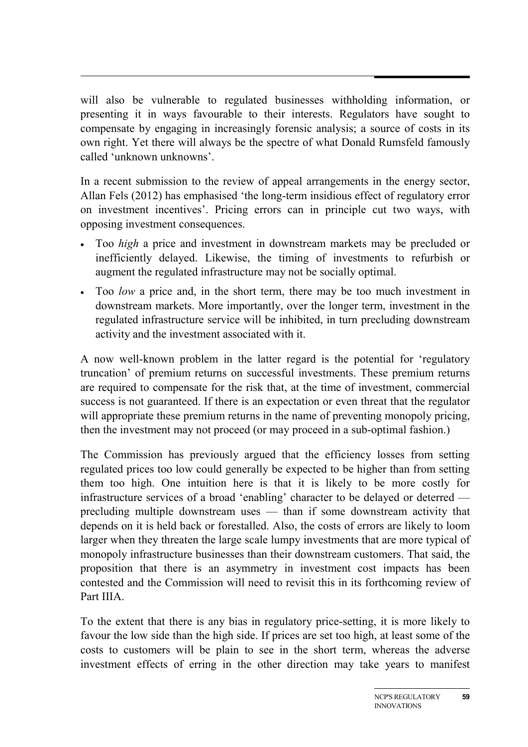will also be vulnerable to regulated businesses withholding information, or presenting it in ways favourable to their interests. Regulators have sought to compensate by engaging in increasingly forensic analysis; a source of costs in its own right. Yet there will always be the spectre of what Donald Rumsfeld famously called 'unknown unknowns'.

In a recent submission to the review of appeal arrangements in the energy sector, Allan Fels (2012) has emphasised 'the long-term insidious effect of regulatory error on investment incentives'. Pricing errors can in principle cut two ways, with opposing investment consequences.

- Too *high* a price and investment in downstream markets may be precluded or inefficiently delayed. Likewise, the timing of investments to refurbish or augment the regulated infrastructure may not be socially optimal.
- Too *low* a price and, in the short term, there may be too much investment in downstream markets. More importantly, over the longer term, investment in the regulated infrastructure service will be inhibited, in turn precluding downstream activity and the investment associated with it.

A now well-known problem in the latter regard is the potential for 'regulatory truncation' of premium returns on successful investments. These premium returns are required to compensate for the risk that, at the time of investment, commercial success is not guaranteed. If there is an expectation or even threat that the regulator will appropriate these premium returns in the name of preventing monopoly pricing, then the investment may not proceed (or may proceed in a sub-optimal fashion.)

The Commission has previously argued that the efficiency losses from setting regulated prices too low could generally be expected to be higher than from setting them too high. One intuition here is that it is likely to be more costly for infrastructure services of a broad 'enabling' character to be delayed or deterred precluding multiple downstream uses — than if some downstream activity that depends on it is held back or forestalled. Also, the costs of errors are likely to loom larger when they threaten the large scale lumpy investments that are more typical of monopoly infrastructure businesses than their downstream customers. That said, the proposition that there is an asymmetry in investment cost impacts has been contested and the Commission will need to revisit this in its forthcoming review of Part IIIA.

To the extent that there is any bias in regulatory price-setting, it is more likely to favour the low side than the high side. If prices are set too high, at least some of the costs to customers will be plain to see in the short term, whereas the adverse investment effects of erring in the other direction may take years to manifest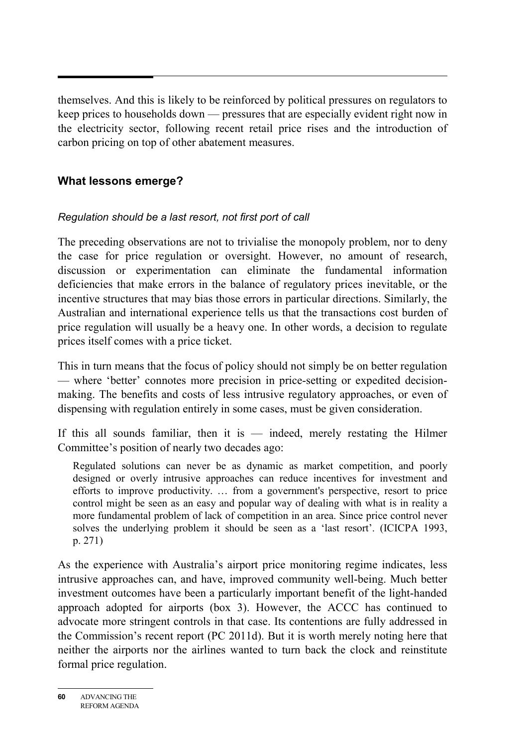themselves. And this is likely to be reinforced by political pressures on regulators to keep prices to households down — pressures that are especially evident right now in the electricity sector, following recent retail price rises and the introduction of carbon pricing on top of other abatement measures.

### **What lessons emerge?**

#### *Regulation should be a last resort, not first port of call*

The preceding observations are not to trivialise the monopoly problem, nor to deny the case for price regulation or oversight. However, no amount of research, discussion or experimentation can eliminate the fundamental information deficiencies that make errors in the balance of regulatory prices inevitable, or the incentive structures that may bias those errors in particular directions. Similarly, the Australian and international experience tells us that the transactions cost burden of price regulation will usually be a heavy one. In other words, a decision to regulate prices itself comes with a price ticket.

This in turn means that the focus of policy should not simply be on better regulation — where 'better' connotes more precision in price-setting or expedited decisionmaking. The benefits and costs of less intrusive regulatory approaches, or even of dispensing with regulation entirely in some cases, must be given consideration.

If this all sounds familiar, then it is  $-$  indeed, merely restating the Hilmer Committee's position of nearly two decades ago:

Regulated solutions can never be as dynamic as market competition, and poorly designed or overly intrusive approaches can reduce incentives for investment and efforts to improve productivity. … from a government's perspective, resort to price control might be seen as an easy and popular way of dealing with what is in reality a more fundamental problem of lack of competition in an area. Since price control never solves the underlying problem it should be seen as a 'last resort'. (ICICPA 1993, p. 271)

As the experience with Australia's airport price monitoring regime indicates, less intrusive approaches can, and have, improved community well-being. Much better investment outcomes have been a particularly important benefit of the light-handed approach adopted for airports (box 3). However, the ACCC has continued to advocate more stringent controls in that case. Its contentions are fully addressed in the Commission's recent report (PC 2011d). But it is worth merely noting here that neither the airports nor the airlines wanted to turn back the clock and reinstitute formal price regulation.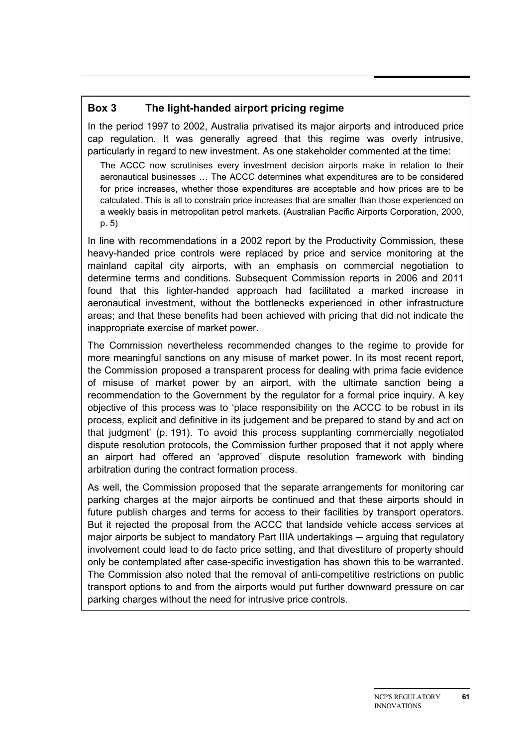#### **Box 3 The light-handed airport pricing regime**

In the period 1997 to 2002, Australia privatised its major airports and introduced price cap regulation. It was generally agreed that this regime was overly intrusive, particularly in regard to new investment. As one stakeholder commented at the time:

The ACCC now scrutinises every investment decision airports make in relation to their aeronautical businesses … The ACCC determines what expenditures are to be considered for price increases, whether those expenditures are acceptable and how prices are to be calculated. This is all to constrain price increases that are smaller than those experienced on a weekly basis in metropolitan petrol markets. (Australian Pacific Airports Corporation, 2000, p. 5)

In line with recommendations in a 2002 report by the Productivity Commission, these heavy-handed price controls were replaced by price and service monitoring at the mainland capital city airports, with an emphasis on commercial negotiation to determine terms and conditions. Subsequent Commission reports in 2006 and 2011 found that this lighter-handed approach had facilitated a marked increase in aeronautical investment, without the bottlenecks experienced in other infrastructure areas; and that these benefits had been achieved with pricing that did not indicate the inappropriate exercise of market power.

The Commission nevertheless recommended changes to the regime to provide for more meaningful sanctions on any misuse of market power. In its most recent report, the Commission proposed a transparent process for dealing with prima facie evidence of misuse of market power by an airport, with the ultimate sanction being a recommendation to the Government by the regulator for a formal price inquiry. A key objective of this process was to 'place responsibility on the ACCC to be robust in its process, explicit and definitive in its judgement and be prepared to stand by and act on that judgment' (p. 191). To avoid this process supplanting commercially negotiated dispute resolution protocols, the Commission further proposed that it not apply where an airport had offered an 'approved' dispute resolution framework with binding arbitration during the contract formation process.

As well, the Commission proposed that the separate arrangements for monitoring car parking charges at the major airports be continued and that these airports should in future publish charges and terms for access to their facilities by transport operators. But it rejected the proposal from the ACCC that landside vehicle access services at major airports be subject to mandatory Part IIIA undertakings — arguing that regulatory involvement could lead to de facto price setting, and that divestiture of property should only be contemplated after case-specific investigation has shown this to be warranted. The Commission also noted that the removal of anti-competitive restrictions on public transport options to and from the airports would put further downward pressure on car parking charges without the need for intrusive price controls.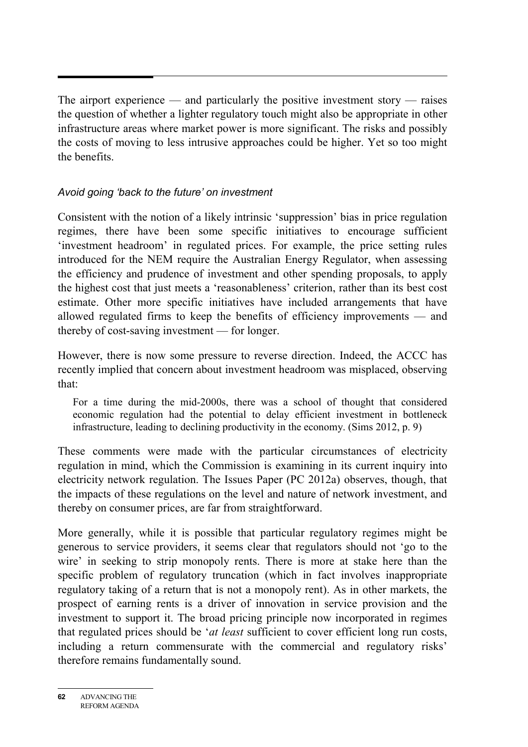The airport experience — and particularly the positive investment story — raises the question of whether a lighter regulatory touch might also be appropriate in other infrastructure areas where market power is more significant. The risks and possibly the costs of moving to less intrusive approaches could be higher. Yet so too might the benefits.

#### *Avoid going 'back to the future' on investment*

Consistent with the notion of a likely intrinsic 'suppression' bias in price regulation regimes, there have been some specific initiatives to encourage sufficient 'investment headroom' in regulated prices. For example, the price setting rules introduced for the NEM require the Australian Energy Regulator, when assessing the efficiency and prudence of investment and other spending proposals, to apply the highest cost that just meets a 'reasonableness' criterion, rather than its best cost estimate. Other more specific initiatives have included arrangements that have allowed regulated firms to keep the benefits of efficiency improvements — and thereby of cost-saving investment — for longer.

However, there is now some pressure to reverse direction. Indeed, the ACCC has recently implied that concern about investment headroom was misplaced, observing that:

For a time during the mid-2000s, there was a school of thought that considered economic regulation had the potential to delay efficient investment in bottleneck infrastructure, leading to declining productivity in the economy. (Sims 2012, p. 9)

These comments were made with the particular circumstances of electricity regulation in mind, which the Commission is examining in its current inquiry into electricity network regulation. The Issues Paper (PC 2012a) observes, though, that the impacts of these regulations on the level and nature of network investment, and thereby on consumer prices, are far from straightforward.

More generally, while it is possible that particular regulatory regimes might be generous to service providers, it seems clear that regulators should not 'go to the wire' in seeking to strip monopoly rents. There is more at stake here than the specific problem of regulatory truncation (which in fact involves inappropriate regulatory taking of a return that is not a monopoly rent). As in other markets, the prospect of earning rents is a driver of innovation in service provision and the investment to support it. The broad pricing principle now incorporated in regimes that regulated prices should be '*at least* sufficient to cover efficient long run costs, including a return commensurate with the commercial and regulatory risks' therefore remains fundamentally sound.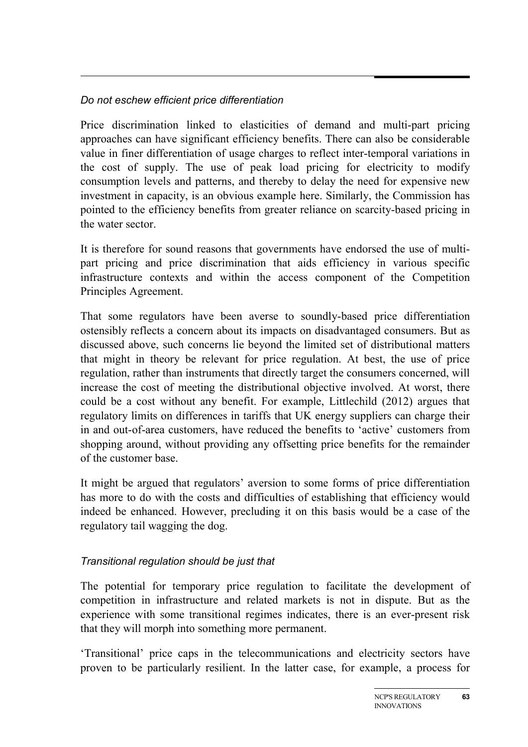#### *Do not eschew efficient price differentiation*

Price discrimination linked to elasticities of demand and multi-part pricing approaches can have significant efficiency benefits. There can also be considerable value in finer differentiation of usage charges to reflect inter-temporal variations in the cost of supply. The use of peak load pricing for electricity to modify consumption levels and patterns, and thereby to delay the need for expensive new investment in capacity, is an obvious example here. Similarly, the Commission has pointed to the efficiency benefits from greater reliance on scarcity-based pricing in the water sector.

It is therefore for sound reasons that governments have endorsed the use of multipart pricing and price discrimination that aids efficiency in various specific infrastructure contexts and within the access component of the Competition Principles Agreement.

That some regulators have been averse to soundly-based price differentiation ostensibly reflects a concern about its impacts on disadvantaged consumers. But as discussed above, such concerns lie beyond the limited set of distributional matters that might in theory be relevant for price regulation. At best, the use of price regulation, rather than instruments that directly target the consumers concerned, will increase the cost of meeting the distributional objective involved. At worst, there could be a cost without any benefit. For example, Littlechild (2012) argues that regulatory limits on differences in tariffs that UK energy suppliers can charge their in and out-of-area customers, have reduced the benefits to 'active' customers from shopping around, without providing any offsetting price benefits for the remainder of the customer base.

It might be argued that regulators' aversion to some forms of price differentiation has more to do with the costs and difficulties of establishing that efficiency would indeed be enhanced. However, precluding it on this basis would be a case of the regulatory tail wagging the dog.

#### *Transitional regulation should be just that*

The potential for temporary price regulation to facilitate the development of competition in infrastructure and related markets is not in dispute. But as the experience with some transitional regimes indicates, there is an ever-present risk that they will morph into something more permanent.

'Transitional' price caps in the telecommunications and electricity sectors have proven to be particularly resilient. In the latter case, for example, a process for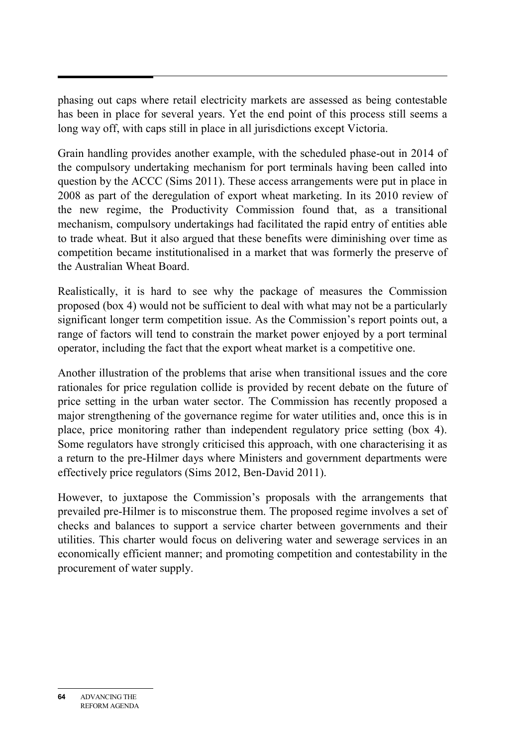phasing out caps where retail electricity markets are assessed as being contestable has been in place for several years. Yet the end point of this process still seems a long way off, with caps still in place in all jurisdictions except Victoria.

Grain handling provides another example, with the scheduled phase-out in 2014 of the compulsory undertaking mechanism for port terminals having been called into question by the ACCC (Sims 2011). These access arrangements were put in place in 2008 as part of the deregulation of export wheat marketing. In its 2010 review of the new regime, the Productivity Commission found that, as a transitional mechanism, compulsory undertakings had facilitated the rapid entry of entities able to trade wheat. But it also argued that these benefits were diminishing over time as competition became institutionalised in a market that was formerly the preserve of the Australian Wheat Board.

Realistically, it is hard to see why the package of measures the Commission proposed (box 4) would not be sufficient to deal with what may not be a particularly significant longer term competition issue. As the Commission's report points out, a range of factors will tend to constrain the market power enjoyed by a port terminal operator, including the fact that the export wheat market is a competitive one.

Another illustration of the problems that arise when transitional issues and the core rationales for price regulation collide is provided by recent debate on the future of price setting in the urban water sector. The Commission has recently proposed a major strengthening of the governance regime for water utilities and, once this is in place, price monitoring rather than independent regulatory price setting (box 4). Some regulators have strongly criticised this approach, with one characterising it as a return to the pre-Hilmer days where Ministers and government departments were effectively price regulators (Sims 2012, Ben-David 2011).

However, to juxtapose the Commission's proposals with the arrangements that prevailed pre-Hilmer is to misconstrue them. The proposed regime involves a set of checks and balances to support a service charter between governments and their utilities. This charter would focus on delivering water and sewerage services in an economically efficient manner; and promoting competition and contestability in the procurement of water supply.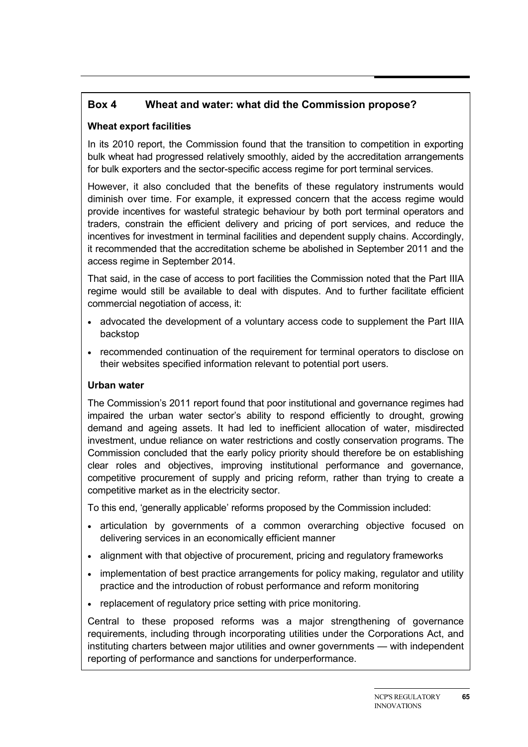#### **Box 4 Wheat and water: what did the Commission propose?**

#### **Wheat export facilities**

In its 2010 report, the Commission found that the transition to competition in exporting bulk wheat had progressed relatively smoothly, aided by the accreditation arrangements for bulk exporters and the sector-specific access regime for port terminal services.

However, it also concluded that the benefits of these regulatory instruments would diminish over time. For example, it expressed concern that the access regime would provide incentives for wasteful strategic behaviour by both port terminal operators and traders, constrain the efficient delivery and pricing of port services, and reduce the incentives for investment in terminal facilities and dependent supply chains. Accordingly, it recommended that the accreditation scheme be abolished in September 2011 and the access regime in September 2014.

That said, in the case of access to port facilities the Commission noted that the Part IIIA regime would still be available to deal with disputes. And to further facilitate efficient commercial negotiation of access, it:

- advocated the development of a voluntary access code to supplement the Part IIIA backstop
- recommended continuation of the requirement for terminal operators to disclose on their websites specified information relevant to potential port users.

#### **Urban water**

The Commission's 2011 report found that poor institutional and governance regimes had impaired the urban water sector's ability to respond efficiently to drought, growing demand and ageing assets. It had led to inefficient allocation of water, misdirected investment, undue reliance on water restrictions and costly conservation programs. The Commission concluded that the early policy priority should therefore be on establishing clear roles and objectives, improving institutional performance and governance, competitive procurement of supply and pricing reform, rather than trying to create a competitive market as in the electricity sector.

To this end, 'generally applicable' reforms proposed by the Commission included:

- articulation by governments of a common overarching objective focused on delivering services in an economically efficient manner
- alignment with that objective of procurement, pricing and regulatory frameworks
- implementation of best practice arrangements for policy making, regulator and utility practice and the introduction of robust performance and reform monitoring
- replacement of regulatory price setting with price monitoring.

Central to these proposed reforms was a major strengthening of governance requirements, including through incorporating utilities under the Corporations Act, and instituting charters between major utilities and owner governments — with independent reporting of performance and sanctions for underperformance.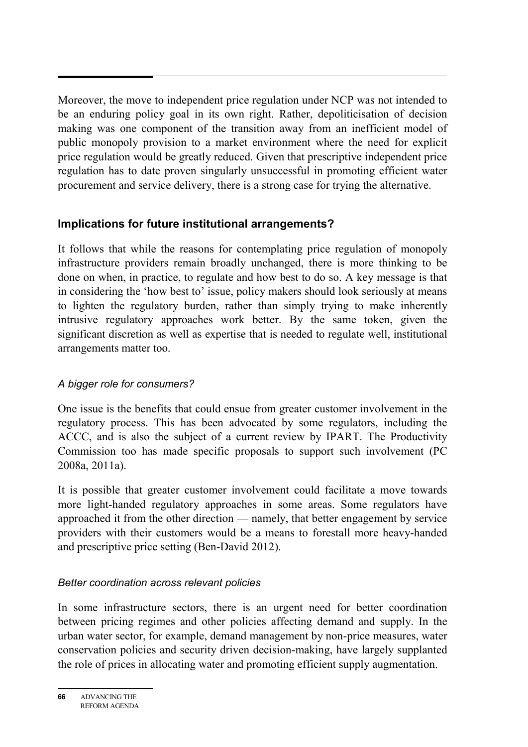Moreover, the move to independent price regulation under NCP was not intended to be an enduring policy goal in its own right. Rather, depoliticisation of decision making was one component of the transition away from an inefficient model of public monopoly provision to a market environment where the need for explicit price regulation would be greatly reduced. Given that prescriptive independent price regulation has to date proven singularly unsuccessful in promoting efficient water procurement and service delivery, there is a strong case for trying the alternative.

# **Implications for future institutional arrangements?**

It follows that while the reasons for contemplating price regulation of monopoly infrastructure providers remain broadly unchanged, there is more thinking to be done on when, in practice, to regulate and how best to do so. A key message is that in considering the 'how best to' issue, policy makers should look seriously at means to lighten the regulatory burden, rather than simply trying to make inherently intrusive regulatory approaches work better. By the same token, given the significant discretion as well as expertise that is needed to regulate well, institutional arrangements matter too.

# *A bigger role for consumers?*

One issue is the benefits that could ensue from greater customer involvement in the regulatory process. This has been advocated by some regulators, including the ACCC, and is also the subject of a current review by IPART. The Productivity Commission too has made specific proposals to support such involvement (PC 2008a, 2011a).

It is possible that greater customer involvement could facilitate a move towards more light-handed regulatory approaches in some areas. Some regulators have approached it from the other direction — namely, that better engagement by service providers with their customers would be a means to forestall more heavy-handed and prescriptive price setting (Ben-David 2012).

# *Better coordination across relevant policies*

In some infrastructure sectors, there is an urgent need for better coordination between pricing regimes and other policies affecting demand and supply. In the urban water sector, for example, demand management by non-price measures, water conservation policies and security driven decision-making, have largely supplanted the role of prices in allocating water and promoting efficient supply augmentation.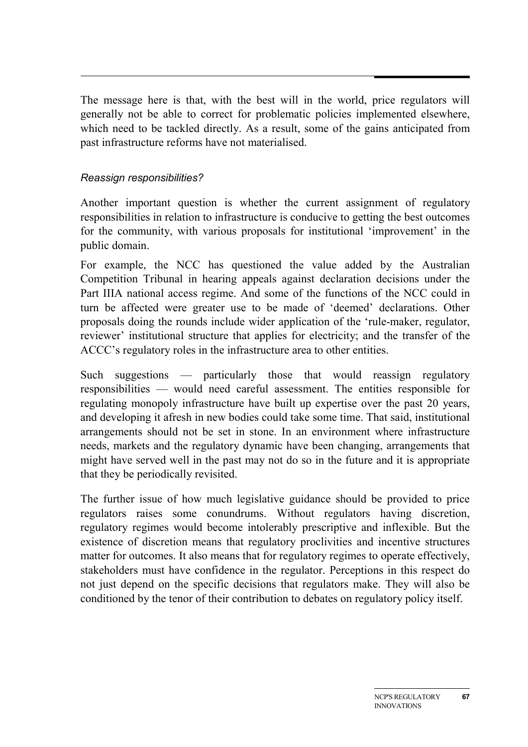The message here is that, with the best will in the world, price regulators will generally not be able to correct for problematic policies implemented elsewhere, which need to be tackled directly. As a result, some of the gains anticipated from past infrastructure reforms have not materialised.

#### *Reassign responsibilities?*

Another important question is whether the current assignment of regulatory responsibilities in relation to infrastructure is conducive to getting the best outcomes for the community, with various proposals for institutional 'improvement' in the public domain.

For example, the NCC has questioned the value added by the Australian Competition Tribunal in hearing appeals against declaration decisions under the Part IIIA national access regime. And some of the functions of the NCC could in turn be affected were greater use to be made of 'deemed' declarations. Other proposals doing the rounds include wider application of the 'rule-maker, regulator, reviewer' institutional structure that applies for electricity; and the transfer of the ACCC's regulatory roles in the infrastructure area to other entities.

Such suggestions — particularly those that would reassign regulatory responsibilities — would need careful assessment. The entities responsible for regulating monopoly infrastructure have built up expertise over the past 20 years, and developing it afresh in new bodies could take some time. That said, institutional arrangements should not be set in stone. In an environment where infrastructure needs, markets and the regulatory dynamic have been changing, arrangements that might have served well in the past may not do so in the future and it is appropriate that they be periodically revisited.

The further issue of how much legislative guidance should be provided to price regulators raises some conundrums. Without regulators having discretion, regulatory regimes would become intolerably prescriptive and inflexible. But the existence of discretion means that regulatory proclivities and incentive structures matter for outcomes. It also means that for regulatory regimes to operate effectively, stakeholders must have confidence in the regulator. Perceptions in this respect do not just depend on the specific decisions that regulators make. They will also be conditioned by the tenor of their contribution to debates on regulatory policy itself.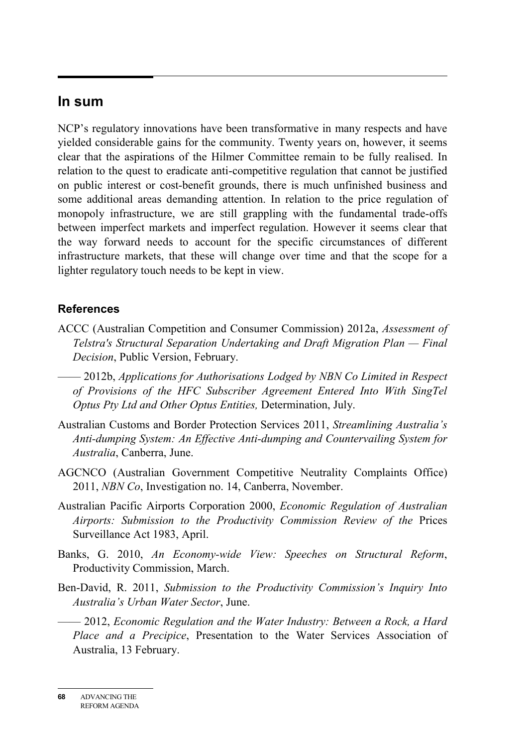# **In sum**

NCP's regulatory innovations have been transformative in many respects and have yielded considerable gains for the community. Twenty years on, however, it seems clear that the aspirations of the Hilmer Committee remain to be fully realised. In relation to the quest to eradicate anti-competitive regulation that cannot be justified on public interest or cost-benefit grounds, there is much unfinished business and some additional areas demanding attention. In relation to the price regulation of monopoly infrastructure, we are still grappling with the fundamental trade-offs between imperfect markets and imperfect regulation. However it seems clear that the way forward needs to account for the specific circumstances of different infrastructure markets, that these will change over time and that the scope for a lighter regulatory touch needs to be kept in view.

#### **References**

- ACCC (Australian Competition and Consumer Commission) 2012a, *Assessment of Telstra's Structural Separation Undertaking and Draft Migration Plan — Final Decision*, Public Version, February.
- —— 2012b, *Applications for Authorisations Lodged by NBN Co Limited in Respect of Provisions of the HFC Subscriber Agreement Entered Into With SingTel Optus Pty Ltd and Other Optus Entities,* Determination, July.
- Australian Customs and Border Protection Services 2011, *Streamlining Australia's Anti-dumping System: An Effective Anti-dumping and Countervailing System for Australia*, Canberra, June.
- AGCNCO (Australian Government Competitive Neutrality Complaints Office) 2011, *NBN Co*, Investigation no. 14, Canberra, November.
- Australian Pacific Airports Corporation 2000, *Economic Regulation of Australian Airports: Submission to the Productivity Commission Review of the* Prices Surveillance Act 1983, April.
- Banks, G. 2010, *An Economy-wide View: Speeches on Structural Reform*, Productivity Commission, March.
- Ben-David, R. 2011, *Submission to the Productivity Commission's Inquiry Into Australia's Urban Water Sector*, June.

—— 2012, *Economic Regulation and the Water Industry: Between a Rock, a Hard Place and a Precipice*, Presentation to the Water Services Association of Australia, 13 February.

**<sup>68</sup>** ADVANCING THE REFORM AGENDA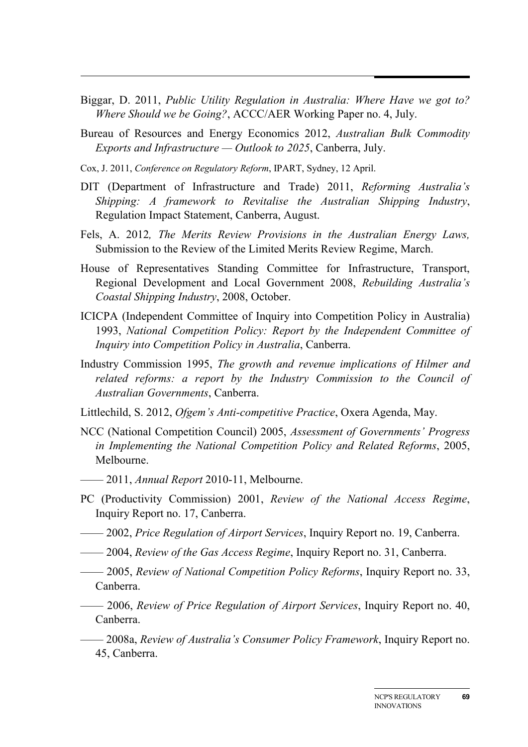- Biggar, D. 2011, *Public Utility Regulation in Australia: Where Have we got to? Where Should we be Going?*, ACCC/AER Working Paper no. 4, July.
- Bureau of Resources and Energy Economics 2012, *Australian Bulk Commodity Exports and Infrastructure — Outlook to 2025*, Canberra, July.
- Cox, J. 2011, *Conference on Regulatory Reform*, IPART, Sydney, 12 April.
- DIT (Department of Infrastructure and Trade) 2011, *Reforming Australia's Shipping: A framework to Revitalise the Australian Shipping Industry*, Regulation Impact Statement, Canberra, August.
- Fels, A. 2012*, The Merits Review Provisions in the Australian Energy Laws,*  Submission to the Review of the Limited Merits Review Regime, March.
- House of Representatives Standing Committee for Infrastructure, Transport, Regional Development and Local Government 2008, *Rebuilding Australia's Coastal Shipping Industry*, 2008, October.
- ICICPA (Independent Committee of Inquiry into Competition Policy in Australia) 1993, *National Competition Policy: Report by the Independent Committee of Inquiry into Competition Policy in Australia*, Canberra.
- Industry Commission 1995, *The growth and revenue implications of Hilmer and related reforms: a report by the Industry Commission to the Council of Australian Governments*, Canberra.
- Littlechild, S. 2012, *Ofgem's Anti-competitive Practice*, Oxera Agenda, May.
- NCC (National Competition Council) 2005, *Assessment of Governments' Progress in Implementing the National Competition Policy and Related Reforms*, 2005, Melbourne.
- —— 2011, *Annual Report* 2010-11, Melbourne.
- PC (Productivity Commission) 2001, *Review of the National Access Regime*, Inquiry Report no. 17, Canberra.
- —— 2002, *Price Regulation of Airport Services*, Inquiry Report no. 19, Canberra.
- —— 2004, *Review of the Gas Access Regime*, Inquiry Report no. 31, Canberra.
- —— 2005, *Review of National Competition Policy Reforms*, Inquiry Report no. 33, Canberra.
- —— 2006, *Review of Price Regulation of Airport Services*, Inquiry Report no. 40, Canberra.
- —— 2008a, *Review of Australia's Consumer Policy Framework*, Inquiry Report no. 45, Canberra.